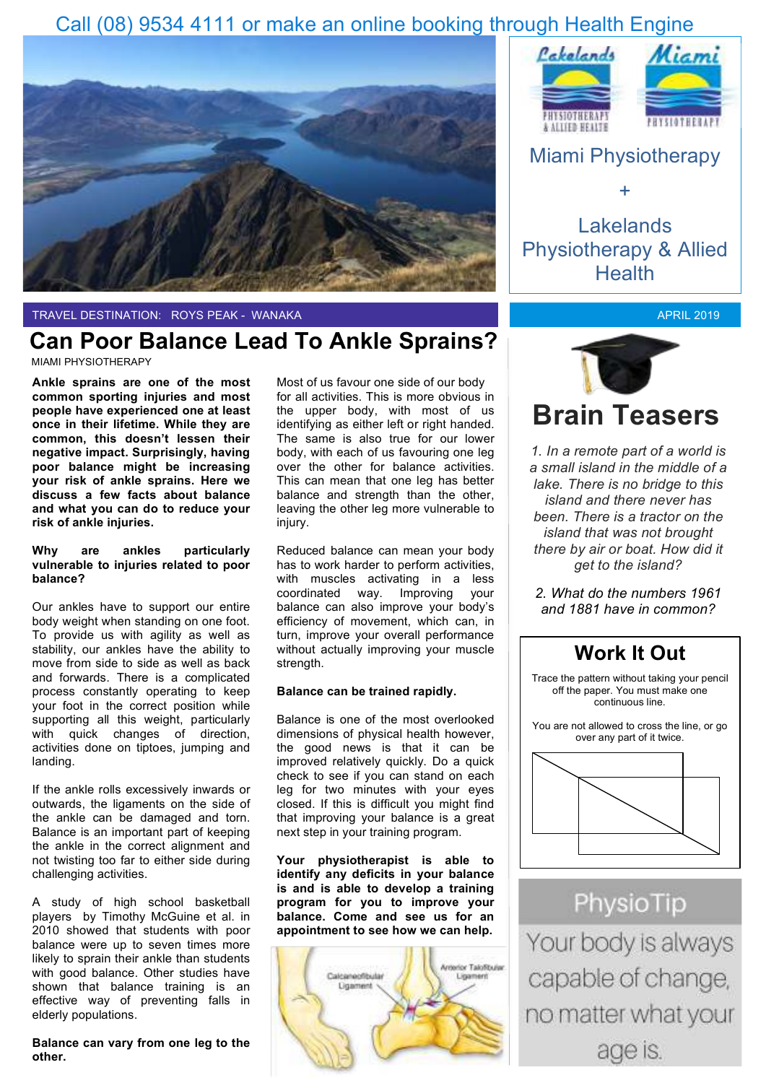### Call (08) 9534 4111 or make an online booking through Health Engine



TRAVEL DESTINATION: ROYS PEAK - WANAKA

### **Can Poor Balance Lead To Ankle Sprains?**

MIAMI PHYSIOTHERAPY

**Ankle sprains are one of the most common sporting injuries and most people have experienced one at least once in their lifetime. While they are common, this doesn't lessen their negative impact. Surprisingly, having poor balance might be increasing your risk of ankle sprains. Here we discuss a few facts about balance and what you can do to reduce your risk of ankle injuries.**

#### **Why are ankles particularly vulnerable to injuries related to poor balance?**

Our ankles have to support our entire body weight when standing on one foot. To provide us with agility as well as stability, our ankles have the ability to move from side to side as well as back and forwards. There is a complicated process constantly operating to keep your foot in the correct position while supporting all this weight, particularly with quick changes of direction, activities done on tiptoes, jumping and landing.

If the ankle rolls excessively inwards or outwards, the ligaments on the side of the ankle can be damaged and torn. Balance is an important part of keeping the ankle in the correct alignment and not twisting too far to either side during challenging activities.

A study of high school basketball players by Timothy McGuine et al. in 2010 showed that students with poor balance were up to seven times more likely to sprain their ankle than students with good balance. Other studies have shown that balance training is an effective way of preventing falls in elderly populations.

**Balance can vary from one leg to the other.** 

Most of us favour one side of our body for all activities. This is more obvious in the upper body, with most of us identifying as either left or right handed. The same is also true for our lower body, with each of us favouring one leg over the other for balance activities. This can mean that one leg has better balance and strength than the other, leaving the other leg more vulnerable to injury.

Reduced balance can mean your body has to work harder to perform activities, with muscles activating in a less coordinated way. Improving your balance can also improve your body's efficiency of movement, which can, in turn, improve your overall performance without actually improving your muscle strength.

#### **Balance can be trained rapidly.**

Balance is one of the most overlooked dimensions of physical health however, the good news is that it can be improved relatively quickly. Do a quick check to see if you can stand on each leg for two minutes with your eyes closed. If this is difficult you might find that improving your balance is a great next step in your training program.

**Your physiotherapist is able to identify any deficits in your balance is and is able to develop a training program for you to improve your balance. Come and see us for an appointment to see how we can help.** 







Lakelands Physiotherapy & Allied **Health** 

APRIL 2019



*1. In a remote part of a world is a small island in the middle of a lake. There is no bridge to this island and there never has been. There is a tractor on the island that was not brought there by air or boat. How did it get to the island?*

*2. What do the numbers 1961 and 1881 have in common?*



PhysioTip Your body is always capable of change, no matter what your age is.